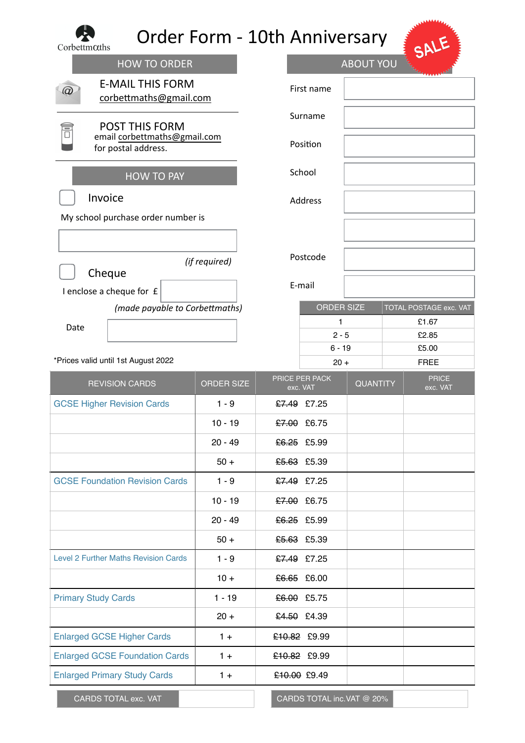| Corbettmoths                                               | <b>Order Form - 10th Anniversary</b> |                |                            |                  |                          |
|------------------------------------------------------------|--------------------------------------|----------------|----------------------------|------------------|--------------------------|
| <b>HOW TO ORDER</b>                                        |                                      |                |                            | <b>ABOUT YOU</b> |                          |
| <b>E-MAIL THIS FORM</b><br>corbettmaths@gmail.com          |                                      |                | First name                 |                  |                          |
| <b>POST THIS FORM</b>                                      |                                      |                | Surname                    |                  |                          |
| email corbettmaths@gmail.com<br>for postal address.        |                                      | Position       |                            |                  |                          |
| <b>HOW TO PAY</b>                                          |                                      | School         |                            |                  |                          |
| Invoice                                                    |                                      | <b>Address</b> |                            |                  |                          |
| My school purchase order number is                         |                                      |                |                            |                  |                          |
|                                                            | (if required)                        | Postcode       |                            |                  |                          |
| Cheque                                                     |                                      | E-mail         |                            |                  |                          |
| I enclose a cheque for £<br>(made payable to Corbettmaths) |                                      |                | <b>ORDER SIZE</b>          |                  | TOTAL POSTAGE exc. VAT   |
| Date                                                       |                                      |                | 1                          |                  | £1.67                    |
|                                                            |                                      |                | $2 - 5$                    |                  | £2.85                    |
| *Prices valid until 1st August 2022                        |                                      |                | $6 - 19$<br>$20 +$         |                  | £5.00<br><b>FREE</b>     |
|                                                            |                                      |                |                            |                  |                          |
|                                                            |                                      |                |                            |                  |                          |
| <b>REVISION CARDS</b>                                      | <b>ORDER SIZE</b>                    |                | PRICE PER PACK<br>exc. VAT | <b>QUANTITY</b>  | <b>PRICE</b><br>exc. VAT |
| <b>GCSE Higher Revision Cards</b>                          | $1 - 9$                              |                | £7.49 £7.25                |                  |                          |
|                                                            | $10 - 19$                            |                | £7.00 £6.75                |                  |                          |
|                                                            | $20 - 49$                            |                | £6.25 £5.99                |                  |                          |
|                                                            | $50+$                                |                | £5.63 £5.39                |                  |                          |
| <b>GCSE Foundation Revision Cards</b>                      | $1 - 9$                              |                | £7.49 £7.25                |                  |                          |
|                                                            | $10 - 19$                            |                | £7.00 £6.75                |                  |                          |
|                                                            | $20 - 49$                            |                | £6.25 £5.99                |                  |                          |
|                                                            | $50+$                                |                | £5.63 £5.39                |                  |                          |
| Level 2 Further Maths Revision Cards                       | $1 - 9$                              |                | £7.49 £7.25                |                  |                          |
|                                                            | $10 +$                               |                | £6.65 £6.00                |                  |                          |
| <b>Primary Study Cards</b>                                 | $1 - 19$                             |                | £6.00 £5.75                |                  |                          |
|                                                            | $20 +$                               |                | £4.50 £4.39                |                  |                          |
| <b>Enlarged GCSE Higher Cards</b>                          | $1 +$                                |                | £10.82 £9.99               |                  |                          |
| <b>Enlarged GCSE Foundation Cards</b>                      | $1 +$                                |                | £10.82 £9.99               |                  |                          |
| <b>Enlarged Primary Study Cards</b>                        | $1 +$                                |                | £10.00 £9.49               |                  |                          |